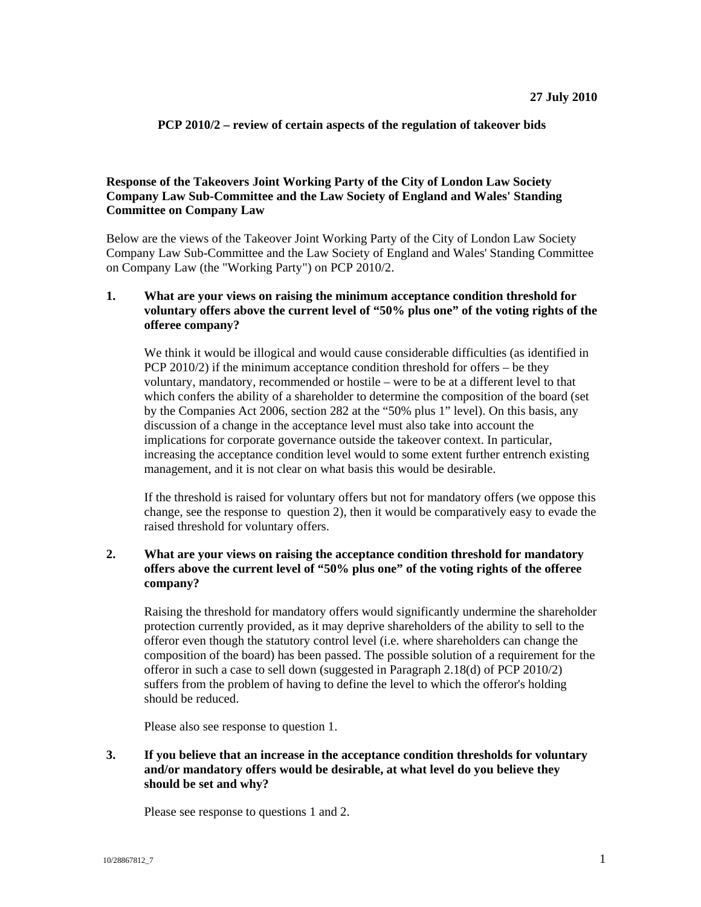#### **PCP 2010/2 – review of certain aspects of the regulation of takeover bids**

## **Response of the Takeovers Joint Working Party of the City of London Law Society Company Law Sub-Committee and the Law Society of England and Wales' Standing Committee on Company Law**

Below are the views of the Takeover Joint Working Party of the City of London Law Society Company Law Sub-Committee and the Law Society of England and Wales' Standing Committee on Company Law (the "Working Party") on PCP 2010/2.

## **1. What are your views on raising the minimum acceptance condition threshold for voluntary offers above the current level of "50% plus one" of the voting rights of the offeree company?**

We think it would be illogical and would cause considerable difficulties (as identified in PCP 2010/2) if the minimum acceptance condition threshold for offers – be they voluntary, mandatory, recommended or hostile – were to be at a different level to that which confers the ability of a shareholder to determine the composition of the board (set by the Companies Act 2006, section 282 at the "50% plus 1" level). On this basis, any discussion of a change in the acceptance level must also take into account the implications for corporate governance outside the takeover context. In particular, increasing the acceptance condition level would to some extent further entrench existing management, and it is not clear on what basis this would be desirable.

If the threshold is raised for voluntary offers but not for mandatory offers (we oppose this change, see the response to question 2), then it would be comparatively easy to evade the raised threshold for voluntary offers.

# **2. What are your views on raising the acceptance condition threshold for mandatory offers above the current level of "50% plus one" of the voting rights of the offeree company?**

Raising the threshold for mandatory offers would significantly undermine the shareholder protection currently provided, as it may deprive shareholders of the ability to sell to the offeror even though the statutory control level (i.e. where shareholders can change the composition of the board) has been passed. The possible solution of a requirement for the offeror in such a case to sell down (suggested in Paragraph 2.18(d) of PCP 2010/2) suffers from the problem of having to define the level to which the offeror's holding should be reduced.

Please also see response to question 1.

## **3. If you believe that an increase in the acceptance condition thresholds for voluntary and/or mandatory offers would be desirable, at what level do you believe they should be set and why?**

Please see response to questions 1 and 2.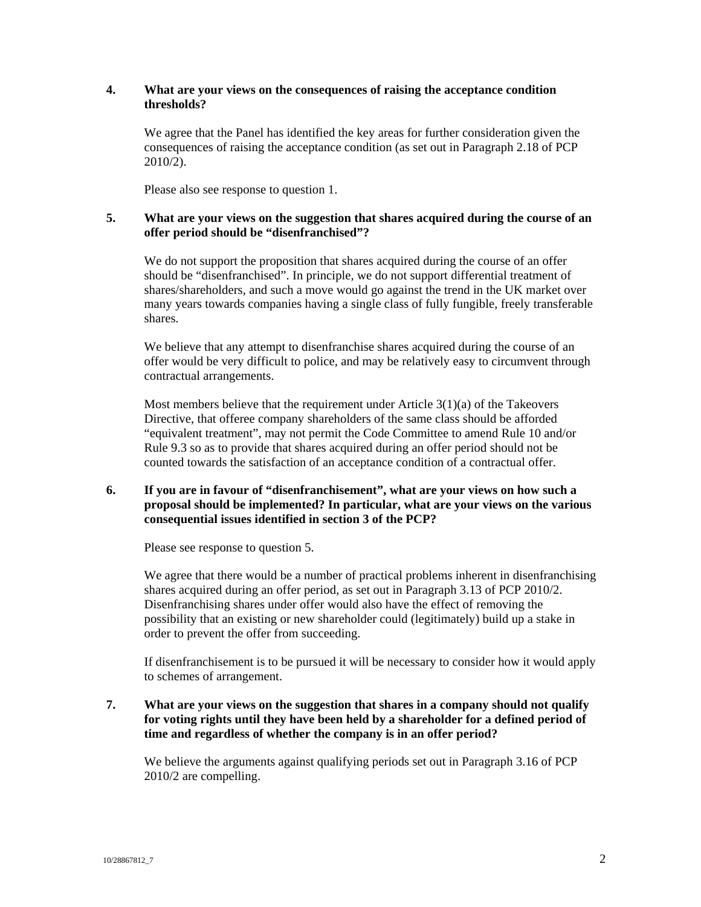#### **4. What are your views on the consequences of raising the acceptance condition thresholds?**

We agree that the Panel has identified the key areas for further consideration given the consequences of raising the acceptance condition (as set out in Paragraph 2.18 of PCP 2010/2).

Please also see response to question 1.

# **5. What are your views on the suggestion that shares acquired during the course of an offer period should be "disenfranchised"?**

We do not support the proposition that shares acquired during the course of an offer should be "disenfranchised". In principle, we do not support differential treatment of shares/shareholders, and such a move would go against the trend in the UK market over many years towards companies having a single class of fully fungible, freely transferable shares.

We believe that any attempt to disenfranchise shares acquired during the course of an offer would be very difficult to police, and may be relatively easy to circumvent through contractual arrangements.

Most members believe that the requirement under Article 3(1)(a) of the Takeovers Directive, that offeree company shareholders of the same class should be afforded "equivalent treatment", may not permit the Code Committee to amend Rule 10 and/or Rule 9.3 so as to provide that shares acquired during an offer period should not be counted towards the satisfaction of an acceptance condition of a contractual offer.

# **6. If you are in favour of "disenfranchisement", what are your views on how such a proposal should be implemented? In particular, what are your views on the various consequential issues identified in section 3 of the PCP?**

Please see response to question 5.

We agree that there would be a number of practical problems inherent in disenfranchising shares acquired during an offer period, as set out in Paragraph 3.13 of PCP 2010/2. Disenfranchising shares under offer would also have the effect of removing the possibility that an existing or new shareholder could (legitimately) build up a stake in order to prevent the offer from succeeding.

If disenfranchisement is to be pursued it will be necessary to consider how it would apply to schemes of arrangement.

# **7. What are your views on the suggestion that shares in a company should not qualify for voting rights until they have been held by a shareholder for a defined period of time and regardless of whether the company is in an offer period?**

We believe the arguments against qualifying periods set out in Paragraph 3.16 of PCP 2010/2 are compelling.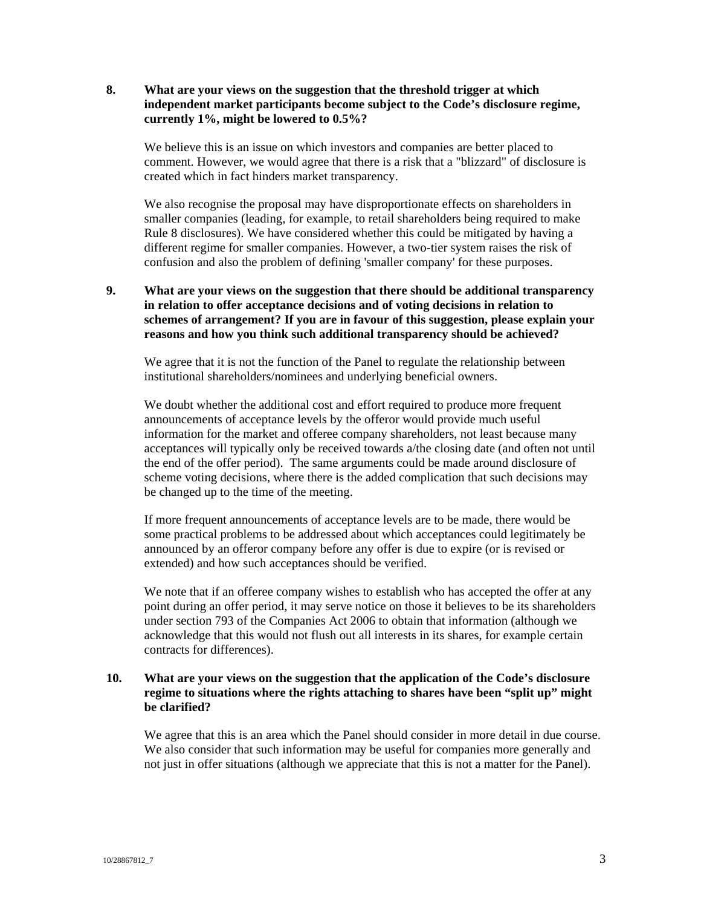#### **8. What are your views on the suggestion that the threshold trigger at which independent market participants become subject to the Code's disclosure regime, currently 1%, might be lowered to 0.5%?**

We believe this is an issue on which investors and companies are better placed to comment. However, we would agree that there is a risk that a "blizzard" of disclosure is created which in fact hinders market transparency.

We also recognise the proposal may have disproportionate effects on shareholders in smaller companies (leading, for example, to retail shareholders being required to make Rule 8 disclosures). We have considered whether this could be mitigated by having a different regime for smaller companies. However, a two-tier system raises the risk of confusion and also the problem of defining 'smaller company' for these purposes.

# **9. What are your views on the suggestion that there should be additional transparency in relation to offer acceptance decisions and of voting decisions in relation to schemes of arrangement? If you are in favour of this suggestion, please explain your reasons and how you think such additional transparency should be achieved?**

We agree that it is not the function of the Panel to regulate the relationship between institutional shareholders/nominees and underlying beneficial owners.

We doubt whether the additional cost and effort required to produce more frequent announcements of acceptance levels by the offeror would provide much useful information for the market and offeree company shareholders, not least because many acceptances will typically only be received towards a/the closing date (and often not until the end of the offer period). The same arguments could be made around disclosure of scheme voting decisions, where there is the added complication that such decisions may be changed up to the time of the meeting.

If more frequent announcements of acceptance levels are to be made, there would be some practical problems to be addressed about which acceptances could legitimately be announced by an offeror company before any offer is due to expire (or is revised or extended) and how such acceptances should be verified.

We note that if an offeree company wishes to establish who has accepted the offer at any point during an offer period, it may serve notice on those it believes to be its shareholders under section 793 of the Companies Act 2006 to obtain that information (although we acknowledge that this would not flush out all interests in its shares, for example certain contracts for differences).

## **10. What are your views on the suggestion that the application of the Code's disclosure regime to situations where the rights attaching to shares have been "split up" might be clarified?**

We agree that this is an area which the Panel should consider in more detail in due course. We also consider that such information may be useful for companies more generally and not just in offer situations (although we appreciate that this is not a matter for the Panel).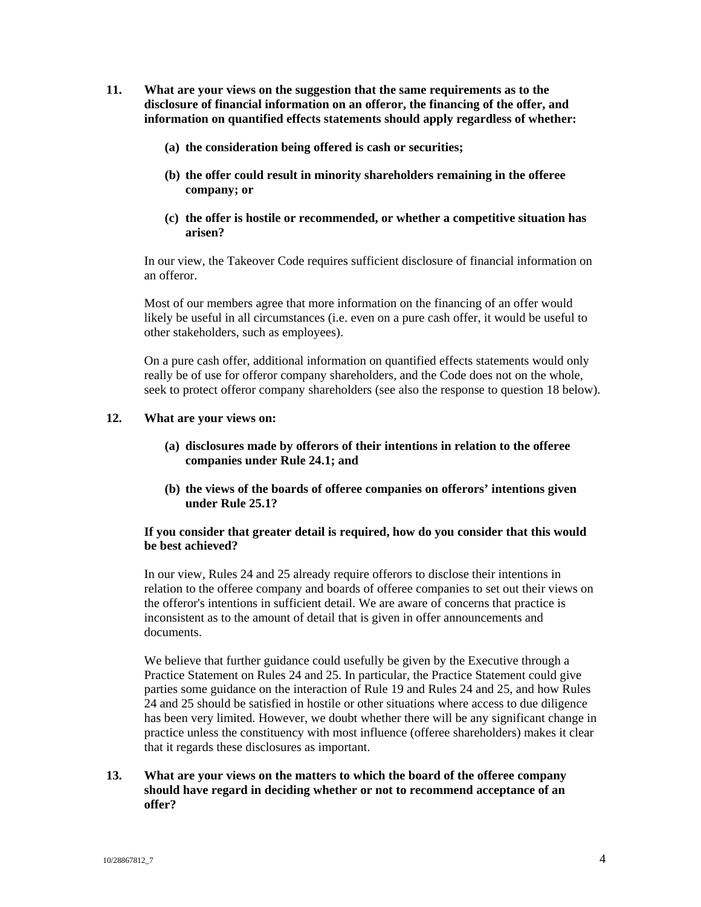- **11. What are your views on the suggestion that the same requirements as to the disclosure of financial information on an offeror, the financing of the offer, and information on quantified effects statements should apply regardless of whether:** 
	- **(a) the consideration being offered is cash or securities;**
	- **(b) the offer could result in minority shareholders remaining in the offeree company; or**
	- **(c) the offer is hostile or recommended, or whether a competitive situation has arisen?**

In our view, the Takeover Code requires sufficient disclosure of financial information on an offeror.

Most of our members agree that more information on the financing of an offer would likely be useful in all circumstances (i.e. even on a pure cash offer, it would be useful to other stakeholders, such as employees).

On a pure cash offer, additional information on quantified effects statements would only really be of use for offeror company shareholders, and the Code does not on the whole, seek to protect offeror company shareholders (see also the response to question 18 below).

#### **12. What are your views on:**

- **(a) disclosures made by offerors of their intentions in relation to the offeree companies under Rule 24.1; and**
- **(b) the views of the boards of offeree companies on offerors' intentions given under Rule 25.1?**

#### **If you consider that greater detail is required, how do you consider that this would be best achieved?**

In our view, Rules 24 and 25 already require offerors to disclose their intentions in relation to the offeree company and boards of offeree companies to set out their views on the offeror's intentions in sufficient detail. We are aware of concerns that practice is inconsistent as to the amount of detail that is given in offer announcements and documents.

We believe that further guidance could usefully be given by the Executive through a Practice Statement on Rules 24 and 25. In particular, the Practice Statement could give parties some guidance on the interaction of Rule 19 and Rules 24 and 25, and how Rules 24 and 25 should be satisfied in hostile or other situations where access to due diligence has been very limited. However, we doubt whether there will be any significant change in practice unless the constituency with most influence (offeree shareholders) makes it clear that it regards these disclosures as important.

# **13. What are your views on the matters to which the board of the offeree company should have regard in deciding whether or not to recommend acceptance of an offer?**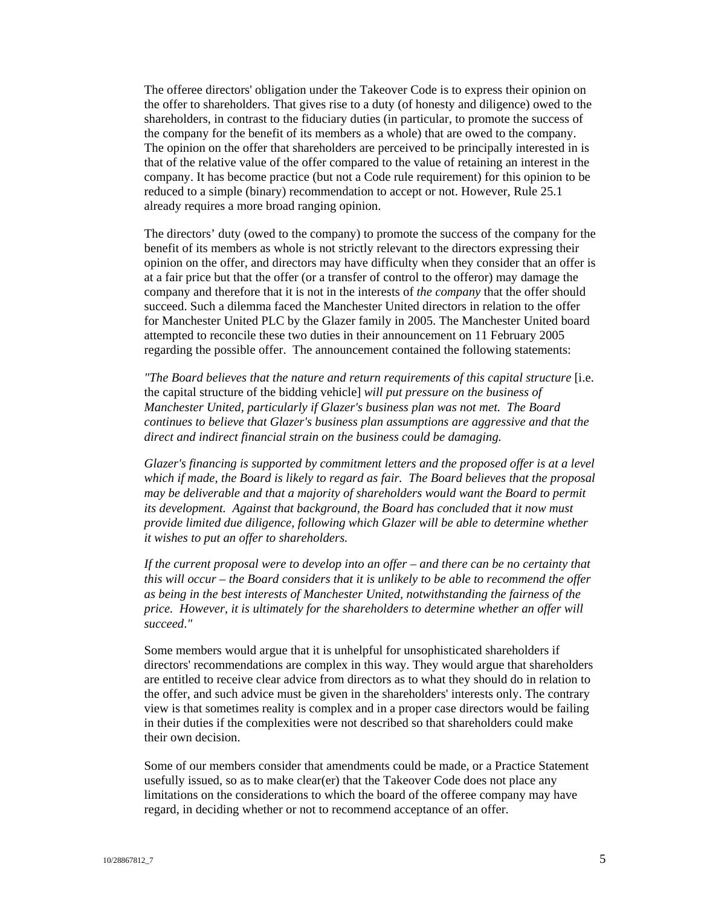The offeree directors' obligation under the Takeover Code is to express their opinion on the offer to shareholders. That gives rise to a duty (of honesty and diligence) owed to the shareholders, in contrast to the fiduciary duties (in particular, to promote the success of the company for the benefit of its members as a whole) that are owed to the company. The opinion on the offer that shareholders are perceived to be principally interested in is that of the relative value of the offer compared to the value of retaining an interest in the company. It has become practice (but not a Code rule requirement) for this opinion to be reduced to a simple (binary) recommendation to accept or not. However, Rule 25.1 already requires a more broad ranging opinion.

The directors' duty (owed to the company) to promote the success of the company for the benefit of its members as whole is not strictly relevant to the directors expressing their opinion on the offer, and directors may have difficulty when they consider that an offer is at a fair price but that the offer (or a transfer of control to the offeror) may damage the company and therefore that it is not in the interests of *the company* that the offer should succeed. Such a dilemma faced the Manchester United directors in relation to the offer for Manchester United PLC by the Glazer family in 2005. The Manchester United board attempted to reconcile these two duties in their announcement on 11 February 2005 regarding the possible offer. The announcement contained the following statements:

*"The Board believes that the nature and return requirements of this capital structure* [i.e. the capital structure of the bidding vehicle] *will put pressure on the business of Manchester United, particularly if Glazer's business plan was not met. The Board continues to believe that Glazer's business plan assumptions are aggressive and that the direct and indirect financial strain on the business could be damaging.* 

*Glazer's financing is supported by commitment letters and the proposed offer is at a level which if made, the Board is likely to regard as fair. The Board believes that the proposal may be deliverable and that a majority of shareholders would want the Board to permit its development. Against that background, the Board has concluded that it now must provide limited due diligence, following which Glazer will be able to determine whether it wishes to put an offer to shareholders.* 

*If the current proposal were to develop into an offer – and there can be no certainty that this will occur – the Board considers that it is unlikely to be able to recommend the offer as being in the best interests of Manchester United, notwithstanding the fairness of the price. However, it is ultimately for the shareholders to determine whether an offer will succeed*.*"* 

Some members would argue that it is unhelpful for unsophisticated shareholders if directors' recommendations are complex in this way. They would argue that shareholders are entitled to receive clear advice from directors as to what they should do in relation to the offer, and such advice must be given in the shareholders' interests only. The contrary view is that sometimes reality is complex and in a proper case directors would be failing in their duties if the complexities were not described so that shareholders could make their own decision.

Some of our members consider that amendments could be made, or a Practice Statement usefully issued, so as to make clear(er) that the Takeover Code does not place any limitations on the considerations to which the board of the offeree company may have regard, in deciding whether or not to recommend acceptance of an offer.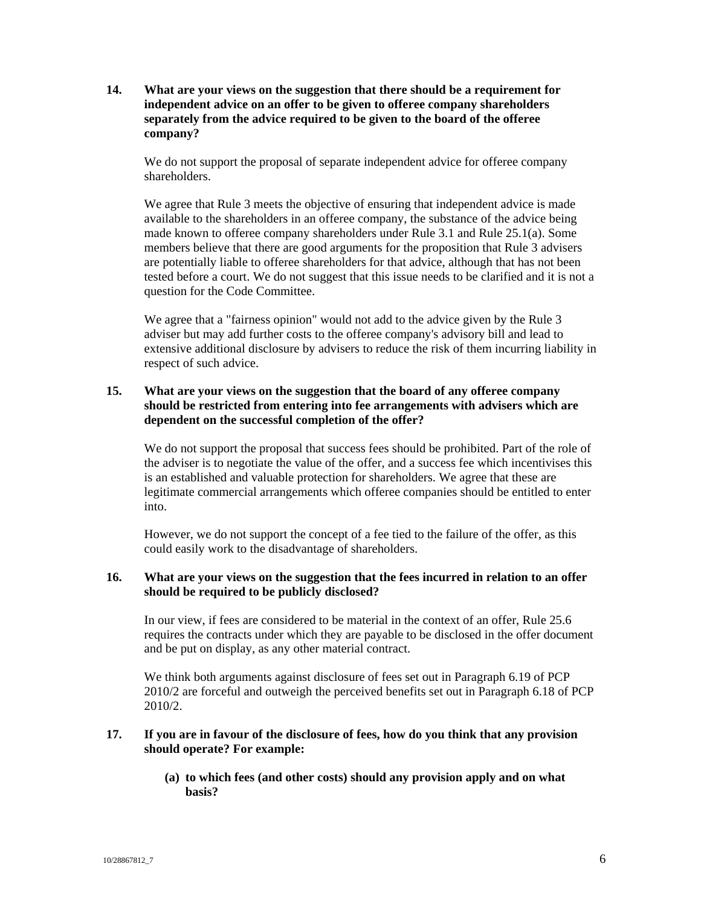**14. What are your views on the suggestion that there should be a requirement for independent advice on an offer to be given to offeree company shareholders separately from the advice required to be given to the board of the offeree company?** 

We do not support the proposal of separate independent advice for offeree company shareholders.

We agree that Rule 3 meets the objective of ensuring that independent advice is made available to the shareholders in an offeree company, the substance of the advice being made known to offeree company shareholders under Rule 3.1 and Rule 25.1(a). Some members believe that there are good arguments for the proposition that Rule 3 advisers are potentially liable to offeree shareholders for that advice, although that has not been tested before a court. We do not suggest that this issue needs to be clarified and it is not a question for the Code Committee.

We agree that a "fairness opinion" would not add to the advice given by the Rule 3 adviser but may add further costs to the offeree company's advisory bill and lead to extensive additional disclosure by advisers to reduce the risk of them incurring liability in respect of such advice.

# **15. What are your views on the suggestion that the board of any offeree company should be restricted from entering into fee arrangements with advisers which are dependent on the successful completion of the offer?**

We do not support the proposal that success fees should be prohibited. Part of the role of the adviser is to negotiate the value of the offer, and a success fee which incentivises this is an established and valuable protection for shareholders. We agree that these are legitimate commercial arrangements which offeree companies should be entitled to enter into.

However, we do not support the concept of a fee tied to the failure of the offer, as this could easily work to the disadvantage of shareholders.

#### **16. What are your views on the suggestion that the fees incurred in relation to an offer should be required to be publicly disclosed?**

In our view, if fees are considered to be material in the context of an offer, Rule 25.6 requires the contracts under which they are payable to be disclosed in the offer document and be put on display, as any other material contract.

We think both arguments against disclosure of fees set out in Paragraph 6.19 of PCP 2010/2 are forceful and outweigh the perceived benefits set out in Paragraph 6.18 of PCP 2010/2.

#### **17. If you are in favour of the disclosure of fees, how do you think that any provision should operate? For example:**

**(a) to which fees (and other costs) should any provision apply and on what basis?**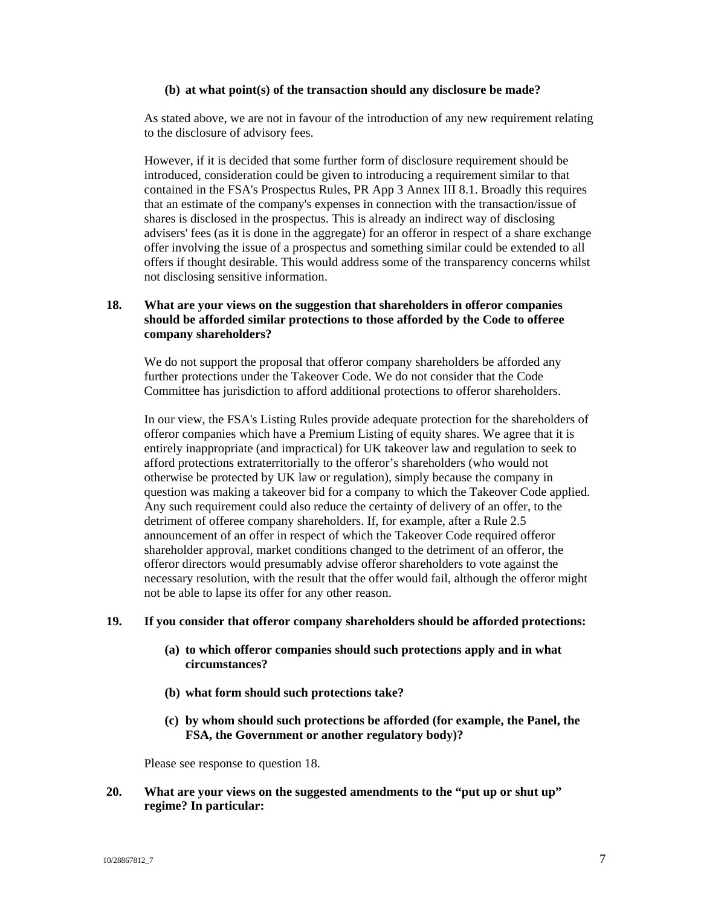#### **(b) at what point(s) of the transaction should any disclosure be made?**

As stated above, we are not in favour of the introduction of any new requirement relating to the disclosure of advisory fees.

However, if it is decided that some further form of disclosure requirement should be introduced, consideration could be given to introducing a requirement similar to that contained in the FSA's Prospectus Rules, PR App 3 Annex III 8.1. Broadly this requires that an estimate of the company's expenses in connection with the transaction/issue of shares is disclosed in the prospectus. This is already an indirect way of disclosing advisers' fees (as it is done in the aggregate) for an offeror in respect of a share exchange offer involving the issue of a prospectus and something similar could be extended to all offers if thought desirable. This would address some of the transparency concerns whilst not disclosing sensitive information.

## **18. What are your views on the suggestion that shareholders in offeror companies should be afforded similar protections to those afforded by the Code to offeree company shareholders?**

We do not support the proposal that offeror company shareholders be afforded any further protections under the Takeover Code. We do not consider that the Code Committee has jurisdiction to afford additional protections to offeror shareholders.

In our view, the FSA's Listing Rules provide adequate protection for the shareholders of offeror companies which have a Premium Listing of equity shares. We agree that it is entirely inappropriate (and impractical) for UK takeover law and regulation to seek to afford protections extraterritorially to the offeror's shareholders (who would not otherwise be protected by UK law or regulation), simply because the company in question was making a takeover bid for a company to which the Takeover Code applied. Any such requirement could also reduce the certainty of delivery of an offer, to the detriment of offeree company shareholders. If, for example, after a Rule 2.5 announcement of an offer in respect of which the Takeover Code required offeror shareholder approval, market conditions changed to the detriment of an offeror, the offeror directors would presumably advise offeror shareholders to vote against the necessary resolution, with the result that the offer would fail, although the offeror might not be able to lapse its offer for any other reason.

#### **19. If you consider that offeror company shareholders should be afforded protections:**

- **(a) to which offeror companies should such protections apply and in what circumstances?**
- **(b) what form should such protections take?**
- **(c) by whom should such protections be afforded (for example, the Panel, the FSA, the Government or another regulatory body)?**

Please see response to question 18.

## **20. What are your views on the suggested amendments to the "put up or shut up" regime? In particular:**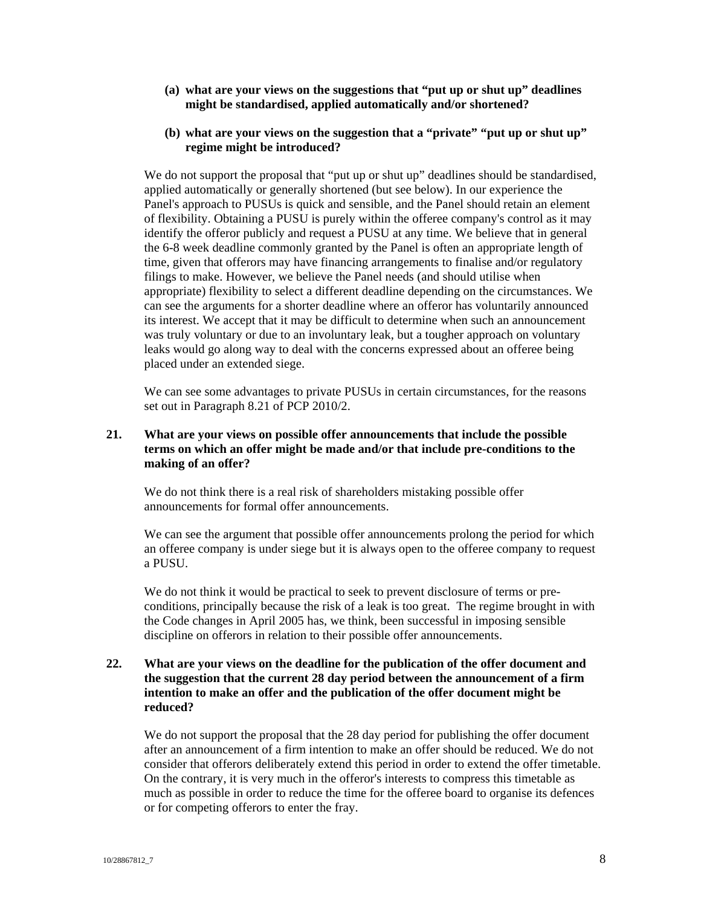- **(a) what are your views on the suggestions that "put up or shut up" deadlines might be standardised, applied automatically and/or shortened?**
- **(b) what are your views on the suggestion that a "private" "put up or shut up" regime might be introduced?**

We do not support the proposal that "put up or shut up" deadlines should be standardised, applied automatically or generally shortened (but see below). In our experience the Panel's approach to PUSUs is quick and sensible, and the Panel should retain an element of flexibility. Obtaining a PUSU is purely within the offeree company's control as it may identify the offeror publicly and request a PUSU at any time. We believe that in general the 6-8 week deadline commonly granted by the Panel is often an appropriate length of time, given that offerors may have financing arrangements to finalise and/or regulatory filings to make. However, we believe the Panel needs (and should utilise when appropriate) flexibility to select a different deadline depending on the circumstances. We can see the arguments for a shorter deadline where an offeror has voluntarily announced its interest. We accept that it may be difficult to determine when such an announcement was truly voluntary or due to an involuntary leak, but a tougher approach on voluntary leaks would go along way to deal with the concerns expressed about an offeree being placed under an extended siege.

We can see some advantages to private PUSUs in certain circumstances, for the reasons set out in Paragraph 8.21 of PCP 2010/2.

## **21. What are your views on possible offer announcements that include the possible terms on which an offer might be made and/or that include pre-conditions to the making of an offer?**

We do not think there is a real risk of shareholders mistaking possible offer announcements for formal offer announcements.

We can see the argument that possible offer announcements prolong the period for which an offeree company is under siege but it is always open to the offeree company to request a PUSU.

We do not think it would be practical to seek to prevent disclosure of terms or preconditions, principally because the risk of a leak is too great. The regime brought in with the Code changes in April 2005 has, we think, been successful in imposing sensible discipline on offerors in relation to their possible offer announcements.

# **22. What are your views on the deadline for the publication of the offer document and the suggestion that the current 28 day period between the announcement of a firm intention to make an offer and the publication of the offer document might be reduced?**

We do not support the proposal that the 28 day period for publishing the offer document after an announcement of a firm intention to make an offer should be reduced. We do not consider that offerors deliberately extend this period in order to extend the offer timetable. On the contrary, it is very much in the offeror's interests to compress this timetable as much as possible in order to reduce the time for the offeree board to organise its defences or for competing offerors to enter the fray.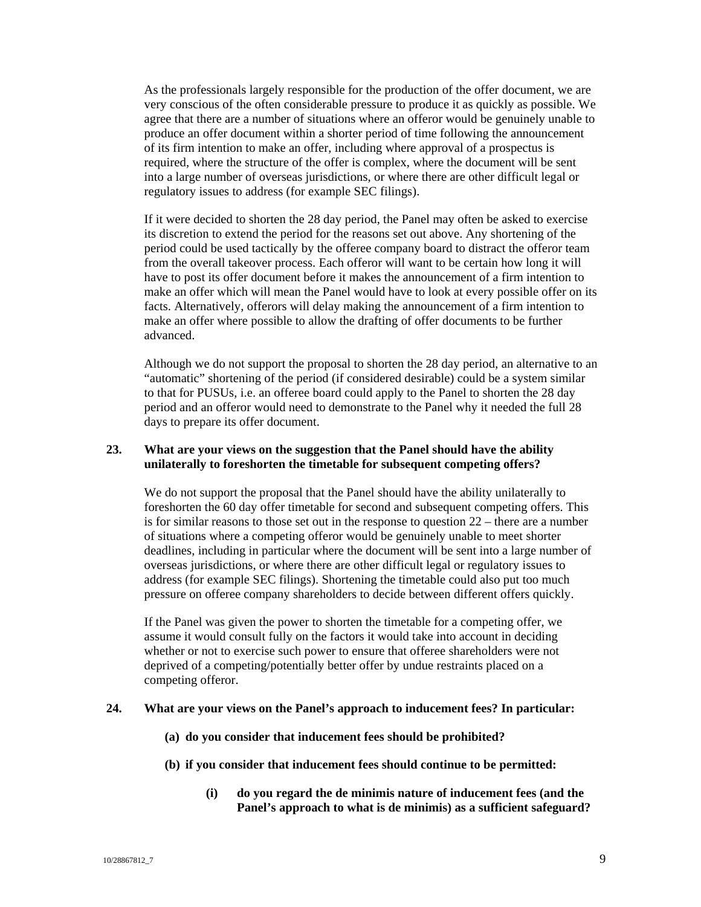As the professionals largely responsible for the production of the offer document, we are very conscious of the often considerable pressure to produce it as quickly as possible. We agree that there are a number of situations where an offeror would be genuinely unable to produce an offer document within a shorter period of time following the announcement of its firm intention to make an offer, including where approval of a prospectus is required, where the structure of the offer is complex, where the document will be sent into a large number of overseas jurisdictions, or where there are other difficult legal or regulatory issues to address (for example SEC filings).

If it were decided to shorten the 28 day period, the Panel may often be asked to exercise its discretion to extend the period for the reasons set out above. Any shortening of the period could be used tactically by the offeree company board to distract the offeror team from the overall takeover process. Each offeror will want to be certain how long it will have to post its offer document before it makes the announcement of a firm intention to make an offer which will mean the Panel would have to look at every possible offer on its facts. Alternatively, offerors will delay making the announcement of a firm intention to make an offer where possible to allow the drafting of offer documents to be further advanced.

Although we do not support the proposal to shorten the 28 day period, an alternative to an "automatic" shortening of the period (if considered desirable) could be a system similar to that for PUSUs, i.e. an offeree board could apply to the Panel to shorten the 28 day period and an offeror would need to demonstrate to the Panel why it needed the full 28 days to prepare its offer document.

#### **23. What are your views on the suggestion that the Panel should have the ability unilaterally to foreshorten the timetable for subsequent competing offers?**

We do not support the proposal that the Panel should have the ability unilaterally to foreshorten the 60 day offer timetable for second and subsequent competing offers. This is for similar reasons to those set out in the response to question  $22$  – there are a number of situations where a competing offeror would be genuinely unable to meet shorter deadlines, including in particular where the document will be sent into a large number of overseas jurisdictions, or where there are other difficult legal or regulatory issues to address (for example SEC filings). Shortening the timetable could also put too much pressure on offeree company shareholders to decide between different offers quickly.

If the Panel was given the power to shorten the timetable for a competing offer, we assume it would consult fully on the factors it would take into account in deciding whether or not to exercise such power to ensure that offeree shareholders were not deprived of a competing/potentially better offer by undue restraints placed on a competing offeror.

#### **24. What are your views on the Panel's approach to inducement fees? In particular:**

- **(a) do you consider that inducement fees should be prohibited?**
- **(b) if you consider that inducement fees should continue to be permitted:** 
	- **(i) do you regard the de minimis nature of inducement fees (and the Panel's approach to what is de minimis) as a sufficient safeguard?**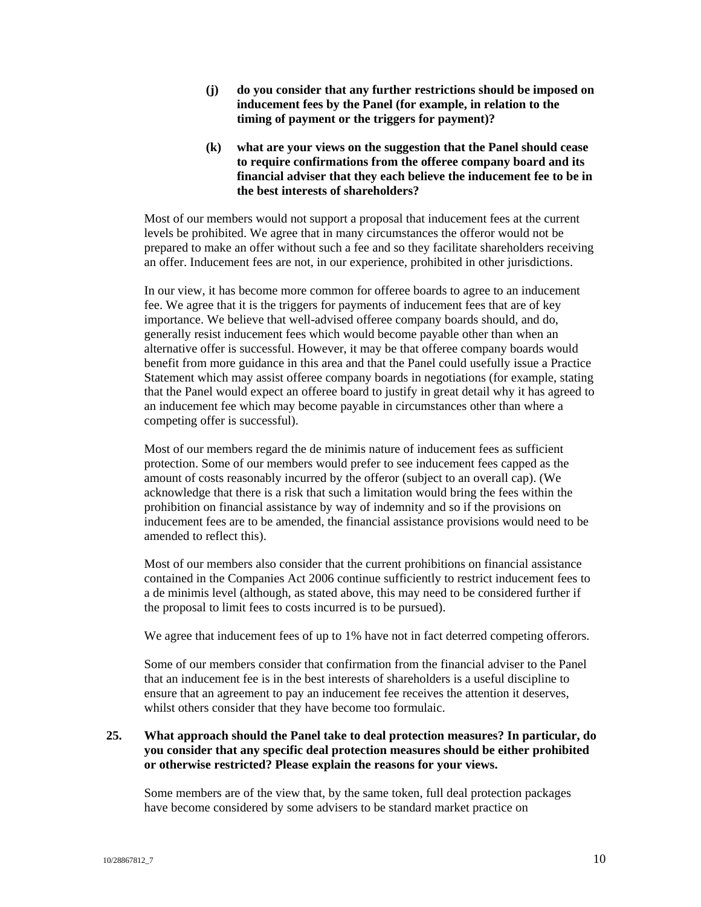- **(j) do you consider that any further restrictions should be imposed on inducement fees by the Panel (for example, in relation to the timing of payment or the triggers for payment)?**
- **(k) what are your views on the suggestion that the Panel should cease to require confirmations from the offeree company board and its financial adviser that they each believe the inducement fee to be in the best interests of shareholders?**

Most of our members would not support a proposal that inducement fees at the current levels be prohibited. We agree that in many circumstances the offeror would not be prepared to make an offer without such a fee and so they facilitate shareholders receiving an offer. Inducement fees are not, in our experience, prohibited in other jurisdictions.

In our view, it has become more common for offeree boards to agree to an inducement fee. We agree that it is the triggers for payments of inducement fees that are of key importance. We believe that well-advised offeree company boards should, and do, generally resist inducement fees which would become payable other than when an alternative offer is successful. However, it may be that offeree company boards would benefit from more guidance in this area and that the Panel could usefully issue a Practice Statement which may assist offeree company boards in negotiations (for example, stating that the Panel would expect an offeree board to justify in great detail why it has agreed to an inducement fee which may become payable in circumstances other than where a competing offer is successful).

Most of our members regard the de minimis nature of inducement fees as sufficient protection. Some of our members would prefer to see inducement fees capped as the amount of costs reasonably incurred by the offeror (subject to an overall cap). (We acknowledge that there is a risk that such a limitation would bring the fees within the prohibition on financial assistance by way of indemnity and so if the provisions on inducement fees are to be amended, the financial assistance provisions would need to be amended to reflect this).

Most of our members also consider that the current prohibitions on financial assistance contained in the Companies Act 2006 continue sufficiently to restrict inducement fees to a de minimis level (although, as stated above, this may need to be considered further if the proposal to limit fees to costs incurred is to be pursued).

We agree that inducement fees of up to 1% have not in fact deterred competing offerors.

Some of our members consider that confirmation from the financial adviser to the Panel that an inducement fee is in the best interests of shareholders is a useful discipline to ensure that an agreement to pay an inducement fee receives the attention it deserves, whilst others consider that they have become too formulaic.

## **25. What approach should the Panel take to deal protection measures? In particular, do you consider that any specific deal protection measures should be either prohibited or otherwise restricted? Please explain the reasons for your views.**

Some members are of the view that, by the same token, full deal protection packages have become considered by some advisers to be standard market practice on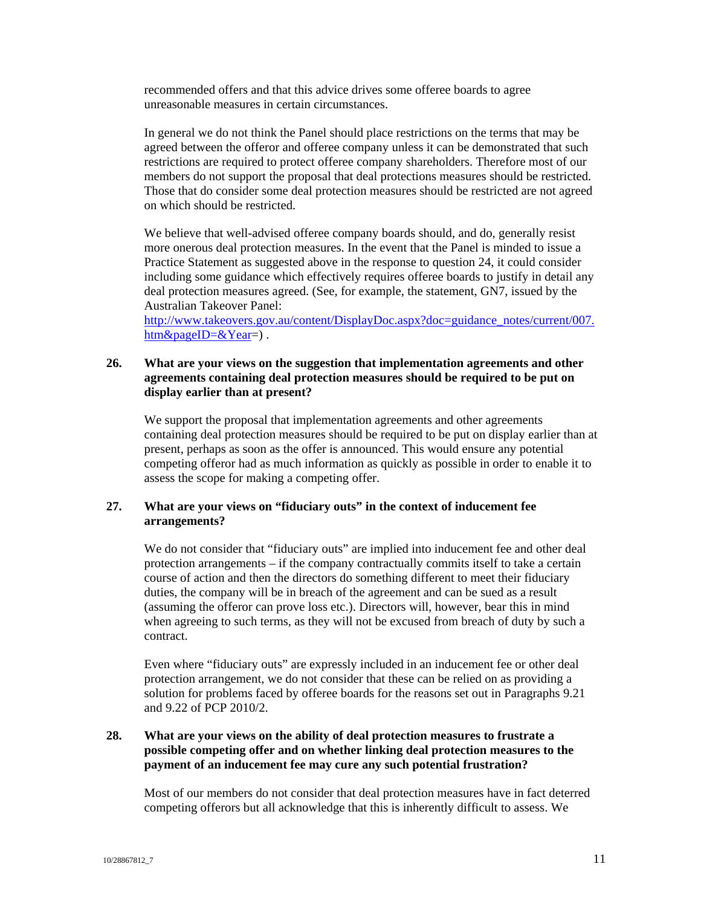recommended offers and that this advice drives some offeree boards to agree unreasonable measures in certain circumstances.

In general we do not think the Panel should place restrictions on the terms that may be agreed between the offeror and offeree company unless it can be demonstrated that such restrictions are required to protect offeree company shareholders. Therefore most of our members do not support the proposal that deal protections measures should be restricted. Those that do consider some deal protection measures should be restricted are not agreed on which should be restricted.

We believe that well-advised offeree company boards should, and do, generally resist more onerous deal protection measures. In the event that the Panel is minded to issue a Practice Statement as suggested above in the response to question 24, it could consider including some guidance which effectively requires offeree boards to justify in detail any deal protection measures agreed. (See, for example, the statement, GN7, issued by the Australian Takeover Panel:

[http://www.takeovers.gov.au/content/DisplayDoc.aspx?doc=guidance\\_notes/current/007.](http://www.takeovers.gov.au/content/DisplayDoc.aspx?doc=guidance_notes/current/007.htm&pageID=&Year) [htm&pageID=&Year=](http://www.takeovers.gov.au/content/DisplayDoc.aspx?doc=guidance_notes/current/007.htm&pageID=&Year)).

#### **26. What are your views on the suggestion that implementation agreements and other agreements containing deal protection measures should be required to be put on display earlier than at present?**

We support the proposal that implementation agreements and other agreements containing deal protection measures should be required to be put on display earlier than at present, perhaps as soon as the offer is announced. This would ensure any potential competing offeror had as much information as quickly as possible in order to enable it to assess the scope for making a competing offer.

## **27. What are your views on "fiduciary outs" in the context of inducement fee arrangements?**

We do not consider that "fiduciary outs" are implied into inducement fee and other deal protection arrangements – if the company contractually commits itself to take a certain course of action and then the directors do something different to meet their fiduciary duties, the company will be in breach of the agreement and can be sued as a result (assuming the offeror can prove loss etc.). Directors will, however, bear this in mind when agreeing to such terms, as they will not be excused from breach of duty by such a contract.

Even where "fiduciary outs" are expressly included in an inducement fee or other deal protection arrangement, we do not consider that these can be relied on as providing a solution for problems faced by offeree boards for the reasons set out in Paragraphs 9.21 and 9.22 of PCP 2010/2.

# **28. What are your views on the ability of deal protection measures to frustrate a possible competing offer and on whether linking deal protection measures to the payment of an inducement fee may cure any such potential frustration?**

Most of our members do not consider that deal protection measures have in fact deterred competing offerors but all acknowledge that this is inherently difficult to assess. We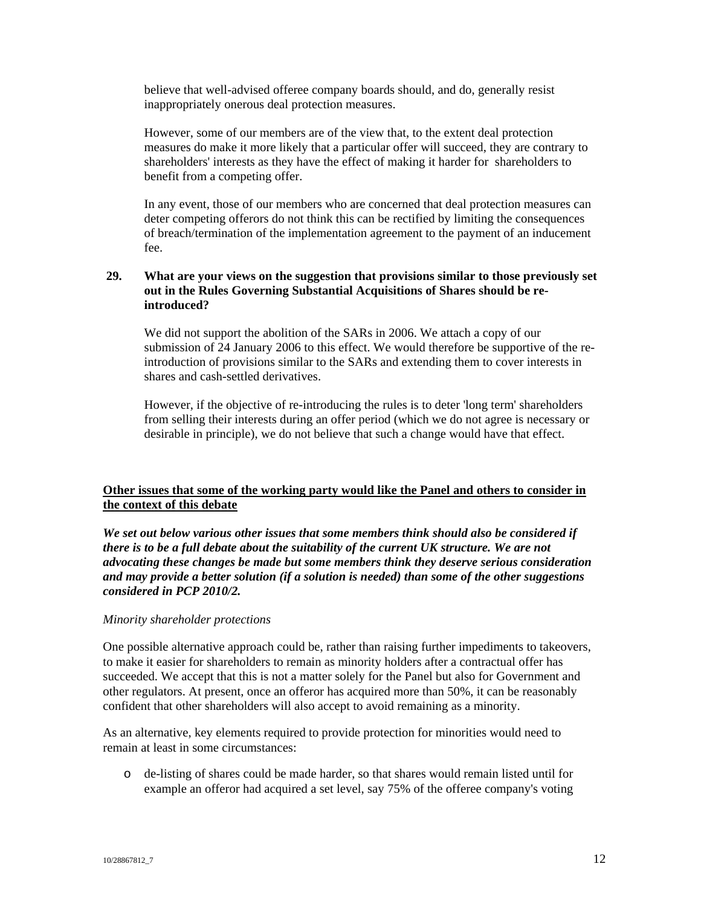believe that well-advised offeree company boards should, and do, generally resist inappropriately onerous deal protection measures.

However, some of our members are of the view that, to the extent deal protection measures do make it more likely that a particular offer will succeed, they are contrary to shareholders' interests as they have the effect of making it harder for shareholders to benefit from a competing offer.

In any event, those of our members who are concerned that deal protection measures can deter competing offerors do not think this can be rectified by limiting the consequences of breach/termination of the implementation agreement to the payment of an inducement fee.

## **29. What are your views on the suggestion that provisions similar to those previously set out in the Rules Governing Substantial Acquisitions of Shares should be reintroduced?**

We did not support the abolition of the SARs in 2006. We attach a copy of our submission of 24 January 2006 to this effect. We would therefore be supportive of the reintroduction of provisions similar to the SARs and extending them to cover interests in shares and cash-settled derivatives.

However, if the objective of re-introducing the rules is to deter 'long term' shareholders from selling their interests during an offer period (which we do not agree is necessary or desirable in principle), we do not believe that such a change would have that effect.

# **Other issues that some of the working party would like the Panel and others to consider in the context of this debate**

*We set out below various other issues that some members think should also be considered if there is to be a full debate about the suitability of the current UK structure. We are not advocating these changes be made but some members think they deserve serious consideration and may provide a better solution (if a solution is needed) than some of the other suggestions considered in PCP 2010/2.*

#### *Minority shareholder protections*

One possible alternative approach could be, rather than raising further impediments to takeovers, to make it easier for shareholders to remain as minority holders after a contractual offer has succeeded. We accept that this is not a matter solely for the Panel but also for Government and other regulators. At present, once an offeror has acquired more than 50%, it can be reasonably confident that other shareholders will also accept to avoid remaining as a minority.

As an alternative, key elements required to provide protection for minorities would need to remain at least in some circumstances:

o de-listing of shares could be made harder, so that shares would remain listed until for example an offeror had acquired a set level, say 75% of the offeree company's voting